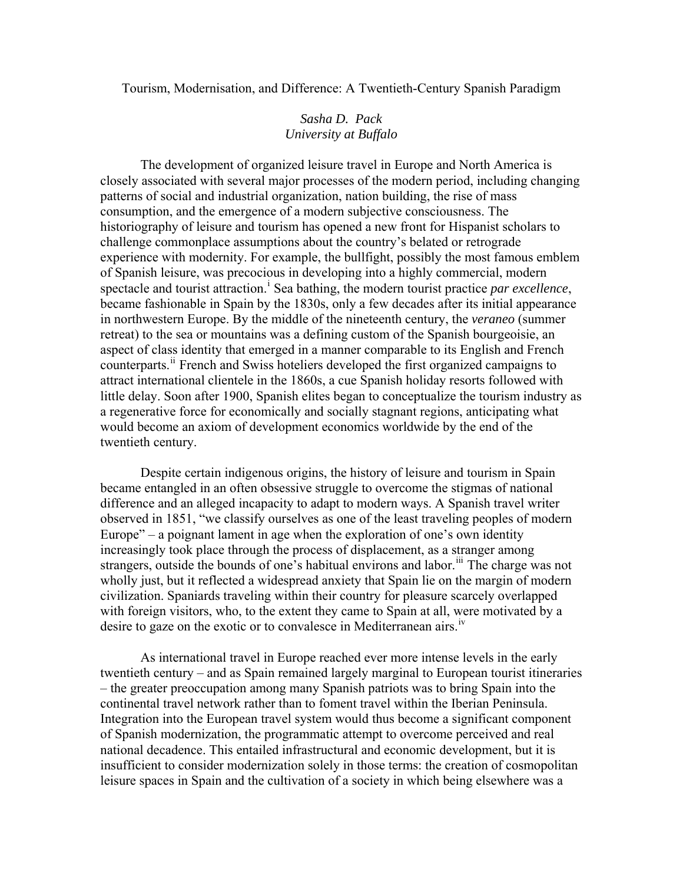Tourism, Modernisation, and Difference: A Twentieth-Century Spanish Paradigm

## *Sasha D. Pack University at Buffalo*

 The development of organized leisure travel in Europe and North America is closely associated with several major processes of the modern period, including changing patterns of social and industrial organization, nation building, the rise of mass consumption, and the emergence of a modern subjective consciousness. The historiography of leisure and tourism has opened a new front for Hispanist scholars to challenge commonplace assumptions about the country's belated or retrograde experience with modernity. For example, the bullfight, possibly the most famous emblem of Spanish leisure, was precocious in developing into a highly commercial, modern spectacle and tour[i](#page-13-0)st attraction.<sup>1</sup> Sea bathing, the modern tourist practice *par excellence*, became fashionable in Spain by the 1830s, only a few decades after its initial appearance in northwestern Europe. By the middle of the nineteenth century, the *veraneo* (summer retreat) to the sea or mountains was a defining custom of the Spanish bourgeoisie, an aspect of class identity that emerged in a manner comparable to its English and French counterparts.<sup>[ii](#page-13-1)</sup> French and Swiss hoteliers developed the first organized campaigns to attract international clientele in the 1860s, a cue Spanish holiday resorts followed with little delay. Soon after 1900, Spanish elites began to conceptualize the tourism industry as a regenerative force for economically and socially stagnant regions, anticipating what would become an axiom of development economics worldwide by the end of the twentieth century.

Despite certain indigenous origins, the history of leisure and tourism in Spain became entangled in an often obsessive struggle to overcome the stigmas of national difference and an alleged incapacity to adapt to modern ways. A Spanish travel writer observed in 1851, "we classify ourselves as one of the least traveling peoples of modern Europe" – a poignant lament in age when the exploration of one's own identity increasingly took place through the process of displacement, as a stranger among strangers, outside the bounds of one's habitual environs and labor.<sup>[iii](#page-13-1)</sup> The charge was not wholly just, but it reflected a widespread anxiety that Spain lie on the margin of modern civilization. Spaniards traveling within their country for pleasure scarcely overlapped with foreign visitors, who, to the extent they came to Spain at all, were motivated by a desire to gaze on the exotic or to convalesce in Mediterranean airs.<sup>[iv](#page-14-0)</sup>

As international travel in Europe reached ever more intense levels in the early twentieth century – and as Spain remained largely marginal to European tourist itineraries – the greater preoccupation among many Spanish patriots was to bring Spain into the continental travel network rather than to foment travel within the Iberian Peninsula. Integration into the European travel system would thus become a significant component of Spanish modernization, the programmatic attempt to overcome perceived and real national decadence. This entailed infrastructural and economic development, but it is insufficient to consider modernization solely in those terms: the creation of cosmopolitan leisure spaces in Spain and the cultivation of a society in which being elsewhere was a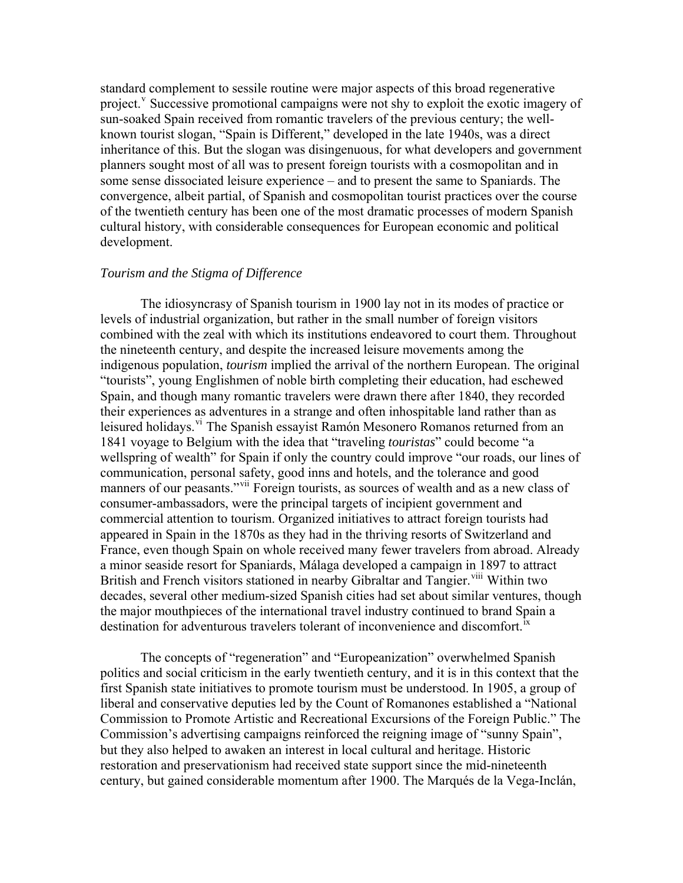standard complement to sessile routine were major aspects of this broad regenerative project.<sup>[v](#page-14-0)</sup> Successive promotional campaigns were not shy to exploit the exotic imagery of sun-soaked Spain received from romantic travelers of the previous century; the wellknown tourist slogan, "Spain is Different," developed in the late 1940s, was a direct inheritance of this. But the slogan was disingenuous, for what developers and government planners sought most of all was to present foreign tourists with a cosmopolitan and in some sense dissociated leisure experience – and to present the same to Spaniards. The convergence, albeit partial, of Spanish and cosmopolitan tourist practices over the course of the twentieth century has been one of the most dramatic processes of modern Spanish cultural history, with considerable consequences for European economic and political development.

## *Tourism and the Stigma of Difference*

The idiosyncrasy of Spanish tourism in 1900 lay not in its modes of practice or levels of industrial organization, but rather in the small number of foreign visitors combined with the zeal with which its institutions endeavored to court them. Throughout the nineteenth century, and despite the increased leisure movements among the indigenous population, *tourism* implied the arrival of the northern European. The original "tourists", young Englishmen of noble birth completing their education, had eschewed Spain, and though many romantic travelers were drawn there after 1840, they recorded their experiences as adventures in a strange and often inhospitable land rather than as leisured holidays.<sup>[vi](#page-14-0)</sup> The Spanish essayist Ramón Mesonero Romanos returned from an 1841 voyage to Belgium with the idea that "traveling *touristas*" could become "a wellspring of wealth" for Spain if only the country could improve "our roads, our lines of communication, personal safety, good inns and hotels, and the tolerance and good manners of our peasants."[vii](#page-14-0) Foreign tourists, as sources of wealth and as a new class of consumer-ambassadors, were the principal targets of incipient government and commercial attention to tourism. Organized initiatives to attract foreign tourists had appeared in Spain in the 1870s as they had in the thriving resorts of Switzerland and France, even though Spain on whole received many fewer travelers from abroad. Already a minor seaside resort for Spaniards, Málaga developed a campaign in 1897 to attract British and French visitors stationed in nearby Gibraltar and Tangier.<sup>[viii](#page-14-0)</sup> Within two decades, several other medium-sized Spanish cities had set about similar ventures, though the major mouthpieces of the international travel industry continued to brand Spain a destination for adventurous travelers tolerant of inconvenience and discomfort.<sup>[ix](#page-14-0)</sup>

The concepts of "regeneration" and "Europeanization" overwhelmed Spanish politics and social criticism in the early twentieth century, and it is in this context that the first Spanish state initiatives to promote tourism must be understood. In 1905, a group of liberal and conservative deputies led by the Count of Romanones established a "National Commission to Promote Artistic and Recreational Excursions of the Foreign Public." The Commission's advertising campaigns reinforced the reigning image of "sunny Spain", but they also helped to awaken an interest in local cultural and heritage. Historic restoration and preservationism had received state support since the mid-nineteenth century, but gained considerable momentum after 1900. The Marqués de la Vega-Inclán,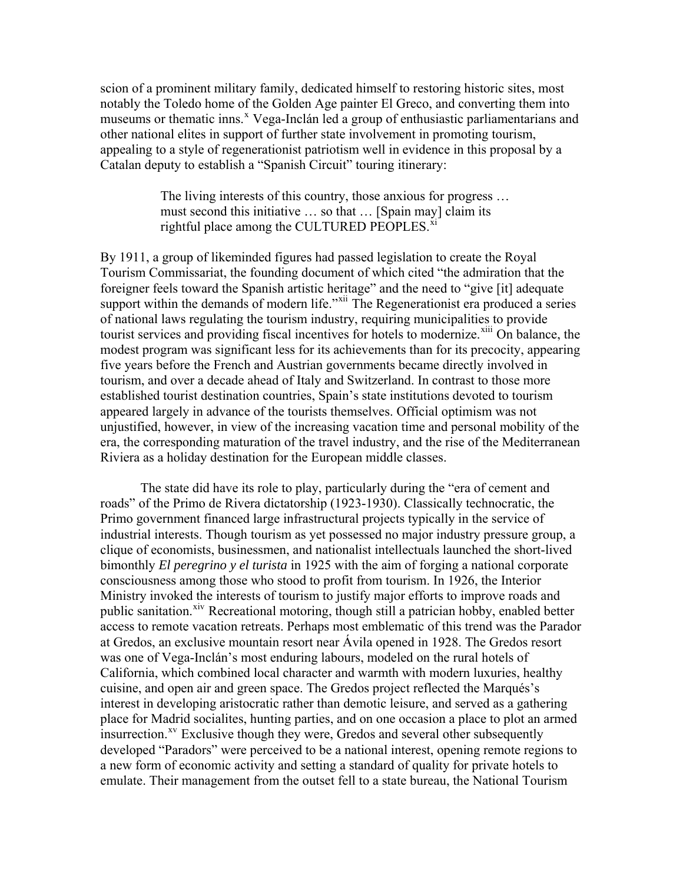scion of a prominent military family, dedicated himself to restoring historic sites, most notably the Toledo home of the Golden Age painter El Greco, and converting them into museums or thematic inns.<sup>[x](#page-14-0)</sup> Vega-Inclán led a group of enthusiastic parliamentarians and other national elites in support of further state involvement in promoting tourism, appealing to a style of regenerationist patriotism well in evidence in this proposal by a Catalan deputy to establish a "Spanish Circuit" touring itinerary:

> The living interests of this country, those anxious for progress … must second this initiative … so that … [Spain may] claim its rightful place among the CULTURED PEOPLES. $\frac{x_i}{x_i}$

By 1911, a group of likeminded figures had passed legislation to create the Royal Tourism Commissariat, the founding document of which cited "the admiration that the foreigner feels toward the Spanish artistic heritage" and the need to "give [it] adequate support within the demands of modern life."<sup>[xii](#page-14-0)</sup> The Regenerationist era produced a series of national laws regulating the tourism industry, requiring municipalities to provide tourist services and providing fiscal incentives for hotels to modernize.<sup>[xiii](#page-14-0)</sup> On balance, the modest program was significant less for its achievements than for its precocity, appearing five years before the French and Austrian governments became directly involved in tourism, and over a decade ahead of Italy and Switzerland. In contrast to those more established tourist destination countries, Spain's state institutions devoted to tourism appeared largely in advance of the tourists themselves. Official optimism was not unjustified, however, in view of the increasing vacation time and personal mobility of the era, the corresponding maturation of the travel industry, and the rise of the Mediterranean Riviera as a holiday destination for the European middle classes.

The state did have its role to play, particularly during the "era of cement and roads" of the Primo de Rivera dictatorship (1923-1930). Classically technocratic, the Primo government financed large infrastructural projects typically in the service of industrial interests. Though tourism as yet possessed no major industry pressure group, a clique of economists, businessmen, and nationalist intellectuals launched the short-lived bimonthly *El peregrino y el turista* in 1925 with the aim of forging a national corporate consciousness among those who stood to profit from tourism. In 1926, the Interior Ministry invoked the interests of tourism to justify major efforts to improve roads and public sanitation.<sup>[xiv](#page-14-0)</sup> Recreational motoring, though still a patrician hobby, enabled better access to remote vacation retreats. Perhaps most emblematic of this trend was the Parador at Gredos, an exclusive mountain resort near Ávila opened in 1928. The Gredos resort was one of Vega-Inclán's most enduring labours, modeled on the rural hotels of California, which combined local character and warmth with modern luxuries, healthy cuisine, and open air and green space. The Gredos project reflected the Marqués's interest in developing aristocratic rather than demotic leisure, and served as a gathering place for Madrid socialites, hunting parties, and on one occasion a place to plot an armed insurrection.<sup>[xv](#page-14-0)</sup> Exclusive though they were, Gredos and several other subsequently developed "Paradors" were perceived to be a national interest, opening remote regions to a new form of economic activity and setting a standard of quality for private hotels to emulate. Their management from the outset fell to a state bureau, the National Tourism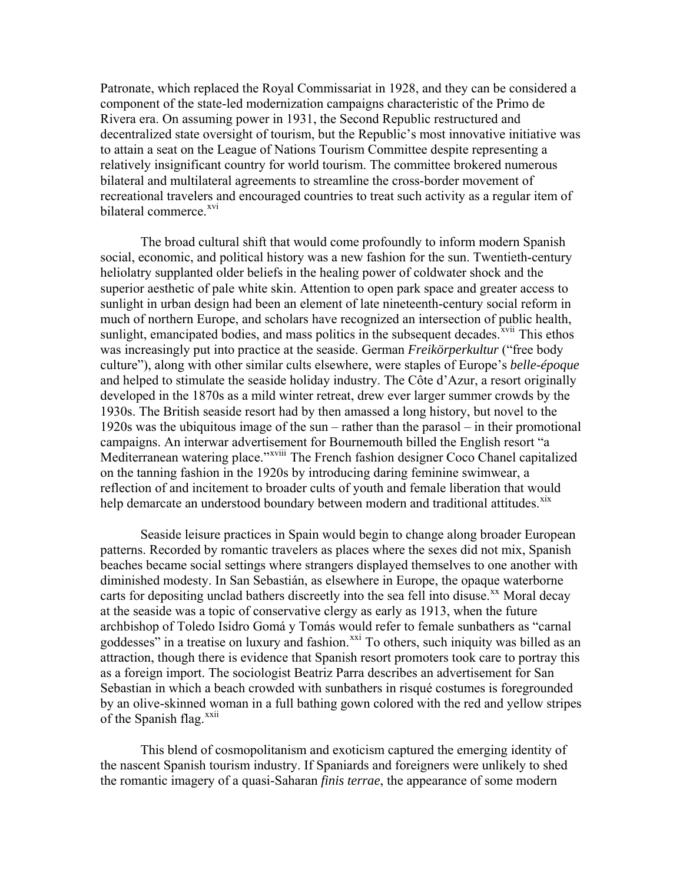Patronate, which replaced the Royal Commissariat in 1928, and they can be considered a component of the state-led modernization campaigns characteristic of the Primo de Rivera era. On assuming power in 1931, the Second Republic restructured and decentralized state oversight of tourism, but the Republic's most innovative initiative was to attain a seat on the League of Nations Tourism Committee despite representing a relatively insignificant country for world tourism. The committee brokered numerous bilateral and multilateral agreements to streamline the cross-border movement of recreational travelers and encouraged countries to treat such activity as a regular item of bilateral commerce <sup>[xvi](#page-14-0)</sup>

The broad cultural shift that would come profoundly to inform modern Spanish social, economic, and political history was a new fashion for the sun. Twentieth-century heliolatry supplanted older beliefs in the healing power of coldwater shock and the superior aesthetic of pale white skin. Attention to open park space and greater access to sunlight in urban design had been an element of late nineteenth-century social reform in much of northern Europe, and scholars have recognized an intersection of public health, sunlight, emancipated bodies, and mass politics in the subsequent decades.<sup> $xvi$ </sup> This ethos was increasingly put into practice at the seaside. German *Freikörperkultur* ("free body culture"), along with other similar cults elsewhere, were staples of Europe's *belle-époque* and helped to stimulate the seaside holiday industry. The Côte d'Azur, a resort originally developed in the 1870s as a mild winter retreat, drew ever larger summer crowds by the 1930s. The British seaside resort had by then amassed a long history, but novel to the 1920s was the ubiquitous image of the sun – rather than the parasol – in their promotional campaigns. An interwar advertisement for Bournemouth billed the English resort "a Mediterranean watering place."<sup>[xviii](#page-15-0)</sup> The French fashion designer Coco Chanel capitalized on the tanning fashion in the 1920s by introducing daring feminine swimwear, a reflection of and incitement to broader cults of youth and female liberation that would help demarcate an understood boundary between modern and traditional attitudes.<sup>[xix](#page-15-0)</sup>

Seaside leisure practices in Spain would begin to change along broader European patterns. Recorded by romantic travelers as places where the sexes did not mix, Spanish beaches became social settings where strangers displayed themselves to one another with diminished modesty. In San Sebastián, as elsewhere in Europe, the opaque waterborne carts for depositing unclad bathers discreetly into the sea fell into disuse.<sup>[xx](#page-15-0)</sup> Moral decay at the seaside was a topic of conservative clergy as early as 1913, when the future archbishop of Toledo Isidro Gomá y Tomás would refer to female sunbathers as "carnal goddesses" in a treatise on luxury and fashion.<sup>[xxi](#page-15-0)</sup> To others, such iniquity was billed as an attraction, though there is evidence that Spanish resort promoters took care to portray this as a foreign import. The sociologist Beatriz Parra describes an advertisement for San Sebastian in which a beach crowded with sunbathers in risqué costumes is foregrounded by an olive-skinned woman in a full bathing gown colored with the red and yellow stripes of the Spanish flag.[xxii](#page-15-0)

This blend of cosmopolitanism and exoticism captured the emerging identity of the nascent Spanish tourism industry. If Spaniards and foreigners were unlikely to shed the romantic imagery of a quasi-Saharan *finis terrae*, the appearance of some modern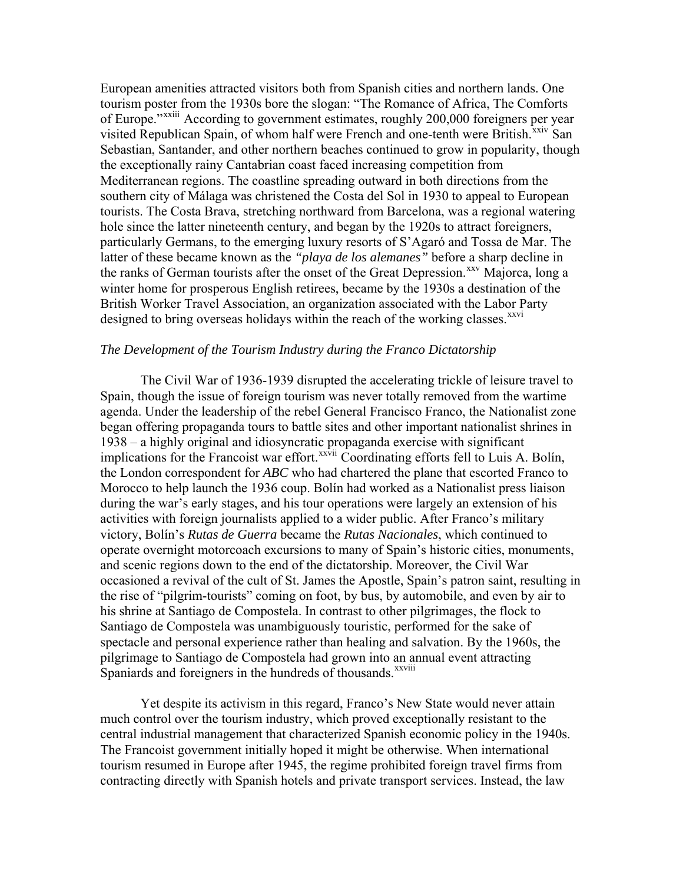European amenities attracted visitors both from Spanish cities and northern lands. One tourism poster from the 1930s bore the slogan: "The Romance of Africa, The Comforts of Europe."[xxiii](#page-15-0) According to government estimates, roughly 200,000 foreigners per year visited Republican Spain, of whom half were French and one-tenth were British.<sup>[xxiv](#page-15-0)</sup> San Sebastian, Santander, and other northern beaches continued to grow in popularity, though the exceptionally rainy Cantabrian coast faced increasing competition from Mediterranean regions. The coastline spreading outward in both directions from the southern city of Málaga was christened the Costa del Sol in 1930 to appeal to European tourists. The Costa Brava, stretching northward from Barcelona, was a regional watering hole since the latter nineteenth century, and began by the 1920s to attract foreigners, particularly Germans, to the emerging luxury resorts of S'Agaró and Tossa de Mar. The latter of these became known as the *"playa de los alemanes"* before a sharp decline in the ranks of German tourists after the onset of the Great Depression.<sup>[xxv](#page-15-0)</sup> Majorca, long a winter home for prosperous English retirees, became by the 1930s a destination of the British Worker Travel Association, an organization associated with the Labor Party designed to bring overseas holidays within the reach of the working classes.<sup>[xxvi](#page-15-0)</sup>

## *The Development of the Tourism Industry during the Franco Dictatorship*

The Civil War of 1936-1939 disrupted the accelerating trickle of leisure travel to Spain, though the issue of foreign tourism was never totally removed from the wartime agenda. Under the leadership of the rebel General Francisco Franco, the Nationalist zone began offering propaganda tours to battle sites and other important nationalist shrines in 1938 – a highly original and idiosyncratic propaganda exercise with significant implications for the Francoist war effort.<sup>[xxvii](#page-15-0)</sup> Coordinating efforts fell to Luis A. Bolín, the London correspondent for *ABC* who had chartered the plane that escorted Franco to Morocco to help launch the 1936 coup. Bolín had worked as a Nationalist press liaison during the war's early stages, and his tour operations were largely an extension of his activities with foreign journalists applied to a wider public. After Franco's military victory, Bolín's *Rutas de Guerra* became the *Rutas Nacionales*, which continued to operate overnight motorcoach excursions to many of Spain's historic cities, monuments, and scenic regions down to the end of the dictatorship. Moreover, the Civil War occasioned a revival of the cult of St. James the Apostle, Spain's patron saint, resulting in the rise of "pilgrim-tourists" coming on foot, by bus, by automobile, and even by air to his shrine at Santiago de Compostela. In contrast to other pilgrimages, the flock to Santiago de Compostela was unambiguously touristic, performed for the sake of spectacle and personal experience rather than healing and salvation. By the 1960s, the pilgrimage to Santiago de Compostela had grown into an annual event attracting Spaniards and foreigners in the hundreds of thousands.<sup>[xxviii](#page-15-0)</sup>

Yet despite its activism in this regard, Franco's New State would never attain much control over the tourism industry, which proved exceptionally resistant to the central industrial management that characterized Spanish economic policy in the 1940s. The Francoist government initially hoped it might be otherwise. When international tourism resumed in Europe after 1945, the regime prohibited foreign travel firms from contracting directly with Spanish hotels and private transport services. Instead, the law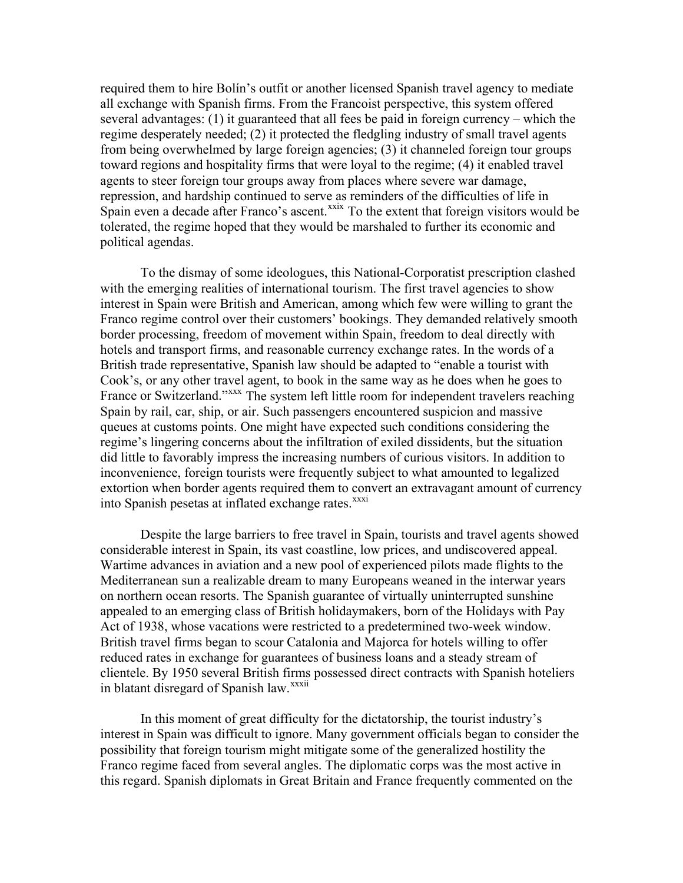required them to hire Bolín's outfit or another licensed Spanish travel agency to mediate all exchange with Spanish firms. From the Francoist perspective, this system offered several advantages: (1) it guaranteed that all fees be paid in foreign currency – which the regime desperately needed; (2) it protected the fledgling industry of small travel agents from being overwhelmed by large foreign agencies; (3) it channeled foreign tour groups toward regions and hospitality firms that were loyal to the regime; (4) it enabled travel agents to steer foreign tour groups away from places where severe war damage, repression, and hardship continued to serve as reminders of the difficulties of life in Spain even a decade after Franco's ascent.<sup>[xxix](#page-15-0)</sup> To the extent that foreign visitors would be tolerated, the regime hoped that they would be marshaled to further its economic and political agendas.

To the dismay of some ideologues, this National-Corporatist prescription clashed with the emerging realities of international tourism. The first travel agencies to show interest in Spain were British and American, among which few were willing to grant the Franco regime control over their customers' bookings. They demanded relatively smooth border processing, freedom of movement within Spain, freedom to deal directly with hotels and transport firms, and reasonable currency exchange rates. In the words of a British trade representative, Spanish law should be adapted to "enable a tourist with Cook's, or any other travel agent, to book in the same way as he does when he goes to France or Switzerland."<sup>[xxx](#page-15-0)x</sup> The system left little room for independent travelers reaching Spain by rail, car, ship, or air. Such passengers encountered suspicion and massive queues at customs points. One might have expected such conditions considering the regime's lingering concerns about the infiltration of exiled dissidents, but the situation did little to favorably impress the increasing numbers of curious visitors. In addition to inconvenience, foreign tourists were frequently subject to what amounted to legalized extortion when border agents required them to convert an extravagant amount of currency into Spanish pesetas at inflated exchange rates.<sup>[xxxi](#page-15-0)</sup>

Despite the large barriers to free travel in Spain, tourists and travel agents showed considerable interest in Spain, its vast coastline, low prices, and undiscovered appeal. Wartime advances in aviation and a new pool of experienced pilots made flights to the Mediterranean sun a realizable dream to many Europeans weaned in the interwar years on northern ocean resorts. The Spanish guarantee of virtually uninterrupted sunshine appealed to an emerging class of British holidaymakers, born of the Holidays with Pay Act of 1938, whose vacations were restricted to a predetermined two-week window. British travel firms began to scour Catalonia and Majorca for hotels willing to offer reduced rates in exchange for guarantees of business loans and a steady stream of clientele. By 1950 several British firms possessed direct contracts with Spanish hoteliers in blatant disregard of Spanish law.<sup>[xxxii](#page-15-0)</sup>

In this moment of great difficulty for the dictatorship, the tourist industry's interest in Spain was difficult to ignore. Many government officials began to consider the possibility that foreign tourism might mitigate some of the generalized hostility the Franco regime faced from several angles. The diplomatic corps was the most active in this regard. Spanish diplomats in Great Britain and France frequently commented on the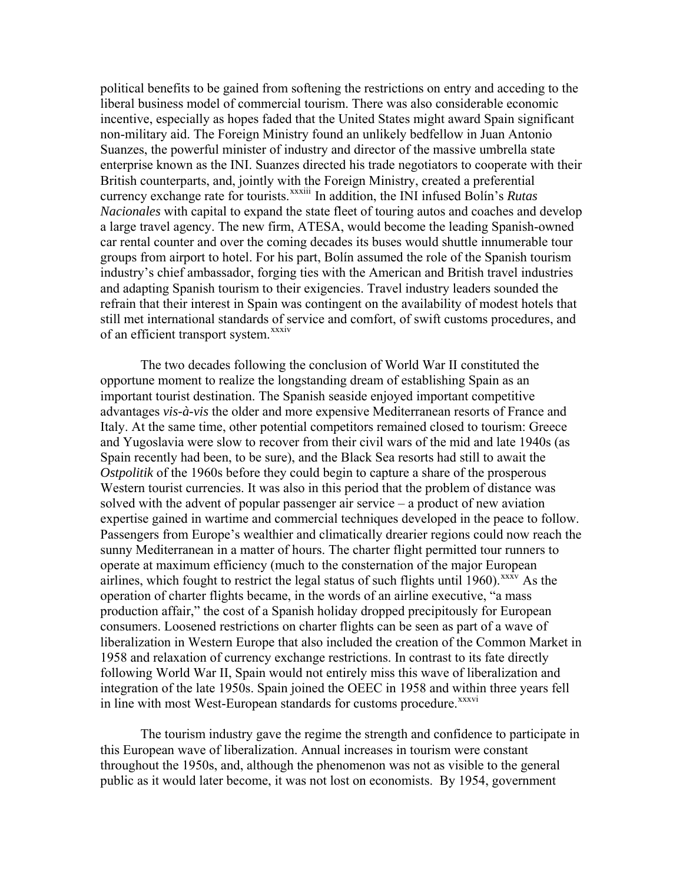political benefits to be gained from softening the restrictions on entry and acceding to the liberal business model of commercial tourism. There was also considerable economic incentive, especially as hopes faded that the United States might award Spain significant non-military aid. The Foreign Ministry found an unlikely bedfellow in Juan Antonio Suanzes, the powerful minister of industry and director of the massive umbrella state enterprise known as the INI. Suanzes directed his trade negotiators to cooperate with their British counterparts, and, jointly with the Foreign Ministry, created a preferential currency exchange rate for tourists.<sup>[xxxiii](#page-15-0)</sup> In addition, the INI infused Bolín's *Rutas Nacionales* with capital to expand the state fleet of touring autos and coaches and develop a large travel agency. The new firm, ATESA, would become the leading Spanish-owned car rental counter and over the coming decades its buses would shuttle innumerable tour groups from airport to hotel. For his part, Bolín assumed the role of the Spanish tourism industry's chief ambassador, forging ties with the American and British travel industries and adapting Spanish tourism to their exigencies. Travel industry leaders sounded the refrain that their interest in Spain was contingent on the availability of modest hotels that still met international standards of service and comfort, of swift customs procedures, and of an efficient transport system.<sup>[xxxiv](#page-15-0)</sup>

The two decades following the conclusion of World War II constituted the opportune moment to realize the longstanding dream of establishing Spain as an important tourist destination. The Spanish seaside enjoyed important competitive advantages *vis-à-vis* the older and more expensive Mediterranean resorts of France and Italy. At the same time, other potential competitors remained closed to tourism: Greece and Yugoslavia were slow to recover from their civil wars of the mid and late 1940s (as Spain recently had been, to be sure), and the Black Sea resorts had still to await the *Ostpolitik* of the 1960s before they could begin to capture a share of the prosperous Western tourist currencies. It was also in this period that the problem of distance was solved with the advent of popular passenger air service – a product of new aviation expertise gained in wartime and commercial techniques developed in the peace to follow. Passengers from Europe's wealthier and climatically drearier regions could now reach the sunny Mediterranean in a matter of hours. The charter flight permitted tour runners to operate at maximum efficiency (much to the consternation of the major European airlines, which fought to restrict the legal status of such flights until 1960). $\frac{xx}{xy}$  As the operation of charter flights became, in the words of an airline executive, "a mass production affair," the cost of a Spanish holiday dropped precipitously for European consumers. Loosened restrictions on charter flights can be seen as part of a wave of liberalization in Western Europe that also included the creation of the Common Market in 1958 and relaxation of currency exchange restrictions. In contrast to its fate directly following World War II, Spain would not entirely miss this wave of liberalization and integration of the late 1950s. Spain joined the OEEC in 1958 and within three years fell in line with most West-European standards for customs procedure.<sup>[xxxvi](#page-16-0)</sup>

 The tourism industry gave the regime the strength and confidence to participate in this European wave of liberalization. Annual increases in tourism were constant throughout the 1950s, and, although the phenomenon was not as visible to the general public as it would later become, it was not lost on economists. By 1954, government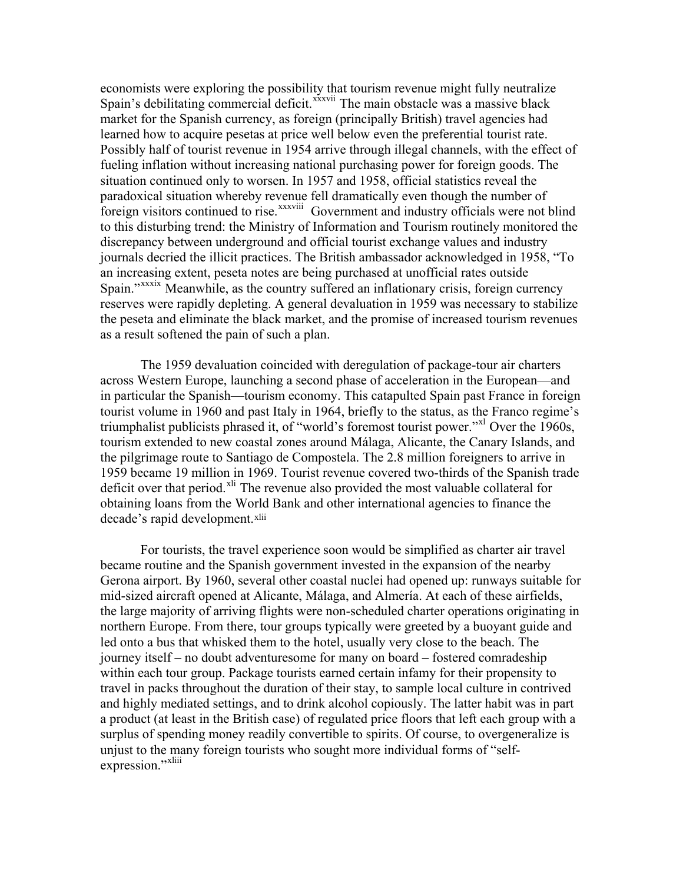economists were exploring the possibility that tourism revenue might fully neutralize Spain's debilitating commercial deficit.<sup>[xxxvii](#page-16-0)</sup> The main obstacle was a massive black market for the Spanish currency, as foreign (principally British) travel agencies had learned how to acquire pesetas at price well below even the preferential tourist rate. Possibly half of tourist revenue in 1954 arrive through illegal channels, with the effect of fueling inflation without increasing national purchasing power for foreign goods. The situation continued only to worsen. In 1957 and 1958, official statistics reveal the paradoxical situation whereby revenue fell dramatically even though the number of foreign visitors continued to rise.<sup>[xxxviii](#page-16-0)</sup> Government and industry officials were not blind to this disturbing trend: the Ministry of Information and Tourism routinely monitored the discrepancy between underground and official tourist exchange values and industry journals decried the illicit practices. The British ambassador acknowledged in 1958, "To an increasing extent, peseta notes are being purchased at unofficial rates outside Spain."<sup>[xxxix](#page-16-0)</sup> Meanwhile, as the country suffered an inflationary crisis, foreign currency reserves were rapidly depleting. A general devaluation in 1959 was necessary to stabilize the peseta and eliminate the black market, and the promise of increased tourism revenues as a result softened the pain of such a plan.

 The 1959 devaluation coincided with deregulation of package-tour air charters across Western Europe, launching a second phase of acceleration in the European—and in particular the Spanish—tourism economy. This catapulted Spain past France in foreign tourist volume in 1960 and past Italy in 1964, briefly to the status, as the Franco regime's triumphalist publicists phrased it, of "world's foremost tourist power."<sup>[xl](#page-16-0)</sup> Over the 1960s, tourism extended to new coastal zones around Málaga, Alicante, the Canary Islands, and the pilgrimage route to Santiago de Compostela. The 2.8 million foreigners to arrive in 1959 became 19 million in 1969. Tourist revenue covered two-thirds of the Spanish trade deficit over that period.<sup>[xli](#page-16-0)</sup> The revenue also provided the most valuable collateral for obtaining loans from the World Bank and other international agencies to finance the decade's rapid development.<sup>[xlii](#page-16-0)</sup>

 For tourists, the travel experience soon would be simplified as charter air travel became routine and the Spanish government invested in the expansion of the nearby Gerona airport. By 1960, several other coastal nuclei had opened up: runways suitable for mid-sized aircraft opened at Alicante, Málaga, and Almería. At each of these airfields, the large majority of arriving flights were non-scheduled charter operations originating in northern Europe. From there, tour groups typically were greeted by a buoyant guide and led onto a bus that whisked them to the hotel, usually very close to the beach. The journey itself – no doubt adventuresome for many on board – fostered comradeship within each tour group. Package tourists earned certain infamy for their propensity to travel in packs throughout the duration of their stay, to sample local culture in contrived and highly mediated settings, and to drink alcohol copiously. The latter habit was in part a product (at least in the British case) of regulated price floors that left each group with a surplus of spending money readily convertible to spirits. Of course, to overgeneralize is unjust to the many foreign tourists who sought more individual forms of "selfexpression."[xliii](#page-16-0)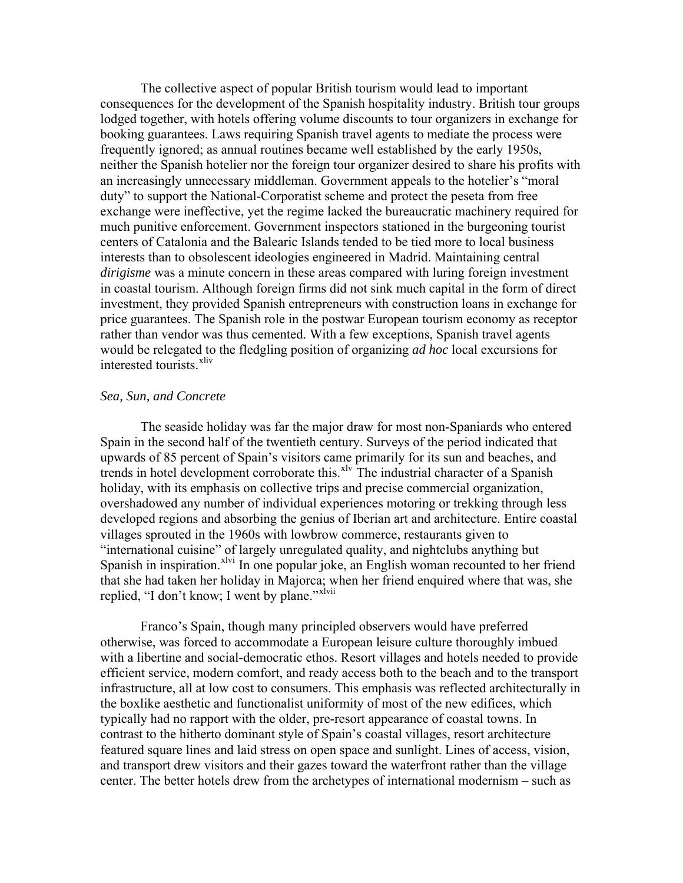The collective aspect of popular British tourism would lead to important consequences for the development of the Spanish hospitality industry. British tour groups lodged together, with hotels offering volume discounts to tour organizers in exchange for booking guarantees. Laws requiring Spanish travel agents to mediate the process were frequently ignored; as annual routines became well established by the early 1950s, neither the Spanish hotelier nor the foreign tour organizer desired to share his profits with an increasingly unnecessary middleman. Government appeals to the hotelier's "moral duty" to support the National-Corporatist scheme and protect the peseta from free exchange were ineffective, yet the regime lacked the bureaucratic machinery required for much punitive enforcement. Government inspectors stationed in the burgeoning tourist centers of Catalonia and the Balearic Islands tended to be tied more to local business interests than to obsolescent ideologies engineered in Madrid. Maintaining central *dirigisme* was a minute concern in these areas compared with luring foreign investment in coastal tourism. Although foreign firms did not sink much capital in the form of direct investment, they provided Spanish entrepreneurs with construction loans in exchange for price guarantees. The Spanish role in the postwar European tourism economy as receptor rather than vendor was thus cemented. With a few exceptions, Spanish travel agents would be relegated to the fledgling position of organizing *ad hoc* local excursions for interested tourists.<sup>[xliv](#page-16-0)</sup>

## *Sea, Sun, and Concrete*

The seaside holiday was far the major draw for most non-Spaniards who entered Spain in the second half of the twentieth century. Surveys of the period indicated that upwards of 85 percent of Spain's visitors came primarily for its sun and beaches, and trends in hotel development corroborate this.<sup>[xlv](#page-16-0)</sup> The industrial character of a Spanish holiday, with its emphasis on collective trips and precise commercial organization, overshadowed any number of individual experiences motoring or trekking through less developed regions and absorbing the genius of Iberian art and architecture. Entire coastal villages sprouted in the 1960s with lowbrow commerce, restaurants given to "international cuisine" of largely unregulated quality, and nightclubs anything but Spanish in inspiration.<sup>[xlvi](#page-16-0)</sup> In one popular joke, an English woman recounted to her friend that she had taken her holiday in Majorca; when her friend enquired where that was, she replied, "I don't know; I went by plane."<sup>[xlvii](#page-16-0)</sup>

Franco's Spain, though many principled observers would have preferred otherwise, was forced to accommodate a European leisure culture thoroughly imbued with a libertine and social-democratic ethos. Resort villages and hotels needed to provide efficient service, modern comfort, and ready access both to the beach and to the transport infrastructure, all at low cost to consumers. This emphasis was reflected architecturally in the boxlike aesthetic and functionalist uniformity of most of the new edifices, which typically had no rapport with the older, pre-resort appearance of coastal towns. In contrast to the hitherto dominant style of Spain's coastal villages, resort architecture featured square lines and laid stress on open space and sunlight. Lines of access, vision, and transport drew visitors and their gazes toward the waterfront rather than the village center. The better hotels drew from the archetypes of international modernism – such as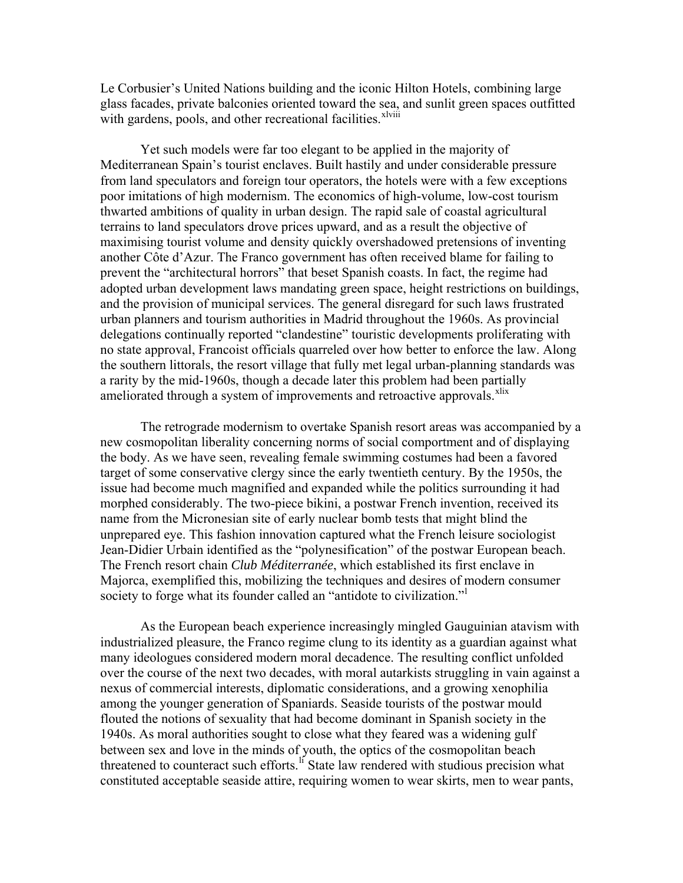Le Corbusier's United Nations building and the iconic Hilton Hotels, combining large glass facades, private balconies oriented toward the sea, and sunlit green spaces outfitted with gardens, pools, and other recreational facilities.<sup>[xlviii](#page-16-0)</sup>

Yet such models were far too elegant to be applied in the majority of Mediterranean Spain's tourist enclaves. Built hastily and under considerable pressure from land speculators and foreign tour operators, the hotels were with a few exceptions poor imitations of high modernism. The economics of high-volume, low-cost tourism thwarted ambitions of quality in urban design. The rapid sale of coastal agricultural terrains to land speculators drove prices upward, and as a result the objective of maximising tourist volume and density quickly overshadowed pretensions of inventing another Côte d'Azur. The Franco government has often received blame for failing to prevent the "architectural horrors" that beset Spanish coasts. In fact, the regime had adopted urban development laws mandating green space, height restrictions on buildings, and the provision of municipal services. The general disregard for such laws frustrated urban planners and tourism authorities in Madrid throughout the 1960s. As provincial delegations continually reported "clandestine" touristic developments proliferating with no state approval, Francoist officials quarreled over how better to enforce the law. Along the southern littorals, the resort village that fully met legal urban-planning standards was a rarity by the mid-1960s, though a decade later this problem had been partially ameliorated through a system of improvements and retroactive approvals.<sup>[xlix](#page-16-0)</sup>

The retrograde modernism to overtake Spanish resort areas was accompanied by a new cosmopolitan liberality concerning norms of social comportment and of displaying the body. As we have seen, revealing female swimming costumes had been a favored target of some conservative clergy since the early twentieth century. By the 1950s, the issue had become much magnified and expanded while the politics surrounding it had morphed considerably. The two-piece bikini, a postwar French invention, received its name from the Micronesian site of early nuclear bomb tests that might blind the unprepared eye. This fashion innovation captured what the French leisure sociologist Jean-Didier Urbain identified as the "polynesification" of the postwar European beach. The French resort chain *Club Méditerranée*, which established its first enclave in Majorca, exemplified this, mobilizing the techniques and desires of modern consumer society to forge what its founder ca[l](#page-16-0)led an "antidote to civilization."

As the European beach experience increasingly mingled Gauguinian atavism with industrialized pleasure, the Franco regime clung to its identity as a guardian against what many ideologues considered modern moral decadence. The resulting conflict unfolded over the course of the next two decades, with moral autarkists struggling in vain against a nexus of commercial interests, diplomatic considerations, and a growing xenophilia among the younger generation of Spaniards. Seaside tourists of the postwar mould flouted the notions of sexuality that had become dominant in Spanish society in the 1940s. As moral authorities sought to close what they feared was a widening gulf between sex and love in the minds of youth, the optics of the cosmopolitan beach threatened to counteract such efforts.<sup>[li](#page-16-0)</sup> State law rendered with studious precision what constituted acceptable seaside attire, requiring women to wear skirts, men to wear pants,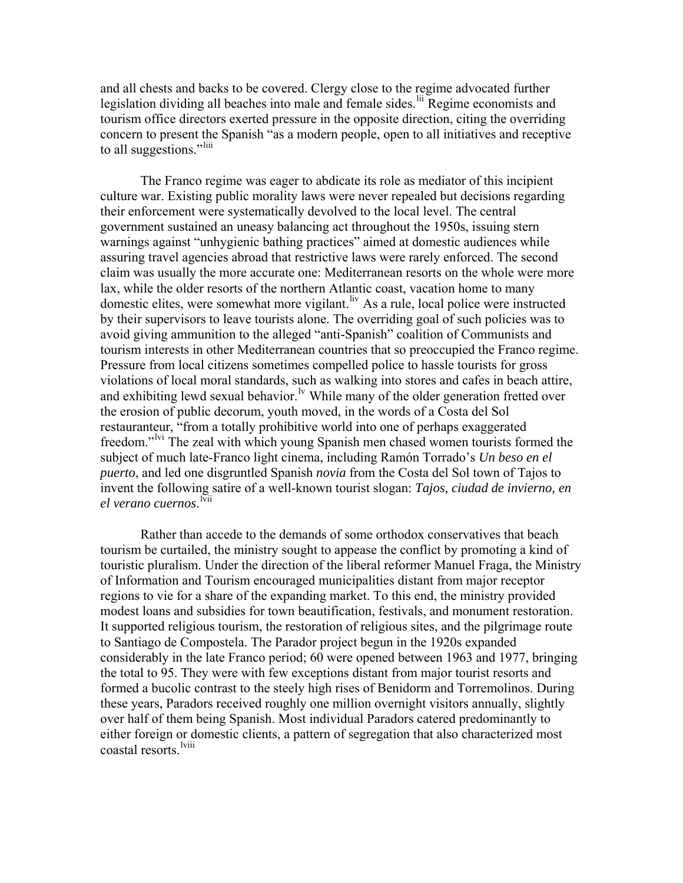and all chests and backs to be covered. Clergy close to the regime advocated further legislation dividing all beaches into male and female sides.<sup>[lii](#page-16-0)</sup> Regime economists and tourism office directors exerted pressure in the opposite direction, citing the overriding concern to present the Spanish "as a modern people, open to all initiatives and receptive to all suggestions."<sup>[liii](#page-16-0)</sup>

The Franco regime was eager to abdicate its role as mediator of this incipient culture war. Existing public morality laws were never repealed but decisions regarding their enforcement were systematically devolved to the local level. The central government sustained an uneasy balancing act throughout the 1950s, issuing stern warnings against "unhygienic bathing practices" aimed at domestic audiences while assuring travel agencies abroad that restrictive laws were rarely enforced. The second claim was usually the more accurate one: Mediterranean resorts on the whole were more lax, while the older resorts of the northern Atlantic coast, vacation home to many domestic elites, were somewhat more vigilant. <sup>[liv](#page-16-0)</sup> As a rule, local police were instructed by their supervisors to leave tourists alone. The overriding goal of such policies was to avoid giving ammunition to the alleged "anti-Spanish" coalition of Communists and tourism interests in other Mediterranean countries that so preoccupied the Franco regime. Pressure from local citizens sometimes compelled police to hassle tourists for gross violations of local moral standards, such as walking into stores and cafes in beach attire, and exhibiting lewd sexual behavior.<sup>[lv](#page-16-0)</sup> While many of the older generation fretted over the erosion of public decorum, youth moved, in the words of a Costa del Sol restauranteur, "from a totally prohibitive world into one of perhaps exaggerated freedom."<sup>Ivi</sup> The zeal with which young Spanish men chased women tourists formed the subject of much late-Franco light cinema, including Ramón Torrado's *Un beso en el puerto*, and led one disgruntled Spanish *novia* from the Costa del Sol town of Tajos to invent the following satire of a well-known tourist slogan: *Tajos, ciudad de invierno, en*  el verano cuernos. <sup>[lvii](#page-16-0)</sup>

Rather than accede to the demands of some orthodox conservatives that beach tourism be curtailed, the ministry sought to appease the conflict by promoting a kind of touristic pluralism. Under the direction of the liberal reformer Manuel Fraga, the Ministry of Information and Tourism encouraged municipalities distant from major receptor regions to vie for a share of the expanding market. To this end, the ministry provided modest loans and subsidies for town beautification, festivals, and monument restoration. It supported religious tourism, the restoration of religious sites, and the pilgrimage route to Santiago de Compostela. The Parador project begun in the 1920s expanded considerably in the late Franco period; 60 were opened between 1963 and 1977, bringing the total to 95. They were with few exceptions distant from major tourist resorts and formed a bucolic contrast to the steely high rises of Benidorm and Torremolinos. During these years, Paradors received roughly one million overnight visitors annually, slightly over half of them being Spanish. Most individual Paradors catered predominantly to either foreign or domestic clients, a pattern of segregation that also characterized most coastal resorts.<sup>[lviii](#page-16-0)</sup>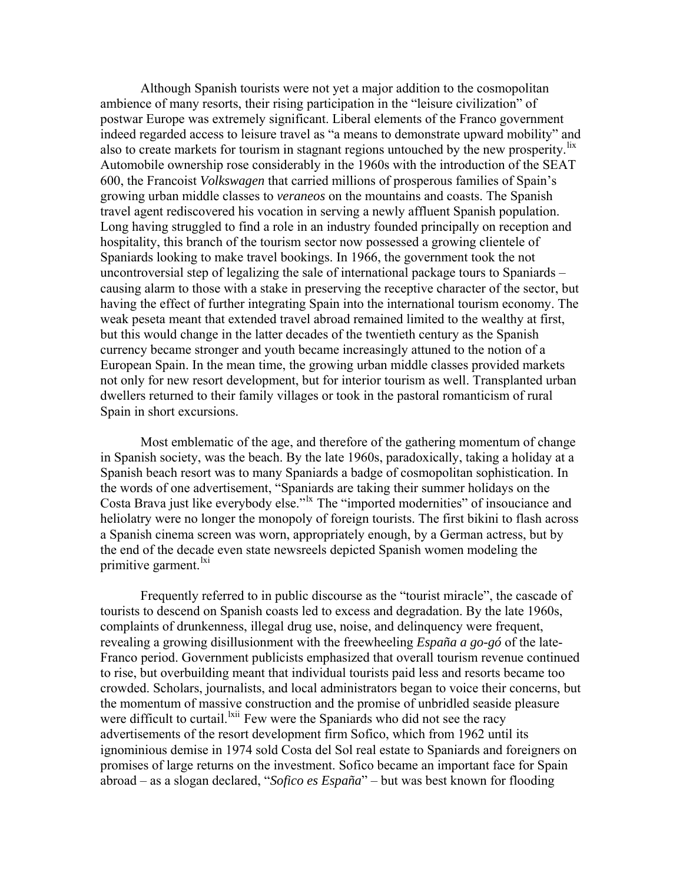Although Spanish tourists were not yet a major addition to the cosmopolitan ambience of many resorts, their rising participation in the "leisure civilization" of postwar Europe was extremely significant. Liberal elements of the Franco government indeed regarded access to leisure travel as "a means to demonstrate upward mobility" and also to create markets for tourism in stagnant regions untouched by the new prosperity. <sup>[lix](#page-16-0)</sup> Automobile ownership rose considerably in the 1960s with the introduction of the SEAT 600, the Francoist *Volkswagen* that carried millions of prosperous families of Spain's growing urban middle classes to *veraneos* on the mountains and coasts. The Spanish travel agent rediscovered his vocation in serving a newly affluent Spanish population. Long having struggled to find a role in an industry founded principally on reception and hospitality, this branch of the tourism sector now possessed a growing clientele of Spaniards looking to make travel bookings. In 1966, the government took the not uncontroversial step of legalizing the sale of international package tours to Spaniards – causing alarm to those with a stake in preserving the receptive character of the sector, but having the effect of further integrating Spain into the international tourism economy. The weak peseta meant that extended travel abroad remained limited to the wealthy at first, but this would change in the latter decades of the twentieth century as the Spanish currency became stronger and youth became increasingly attuned to the notion of a European Spain. In the mean time, the growing urban middle classes provided markets not only for new resort development, but for interior tourism as well. Transplanted urban dwellers returned to their family villages or took in the pastoral romanticism of rural Spain in short excursions.

 Most emblematic of the age, and therefore of the gathering momentum of change in Spanish society, was the beach. By the late 1960s, paradoxically, taking a holiday at a Spanish beach resort was to many Spaniards a badge of cosmopolitan sophistication. In the words of one advertisement, "Spaniards are taking their summer holidays on the Costa Brava just like everybody else."<sup>Ix</sup> The "imported modernities" of insouciance and heliolatry were no longer the monopoly of foreign tourists. The first bikini to flash across a Spanish cinema screen was worn, appropriately enough, by a German actress, but by the end of the decade even state newsreels depicted Spanish women modeling the primitive garment.<sup>[lxi](#page-16-0)</sup>

Frequently referred to in public discourse as the "tourist miracle", the cascade of tourists to descend on Spanish coasts led to excess and degradation. By the late 1960s, complaints of drunkenness, illegal drug use, noise, and delinquency were frequent, revealing a growing disillusionment with the freewheeling *España a go-gó* of the late-Franco period. Government publicists emphasized that overall tourism revenue continued to rise, but overbuilding meant that individual tourists paid less and resorts became too crowded. Scholars, journalists, and local administrators began to voice their concerns, but the momentum of massive construction and the promise of unbridled seaside pleasure were difficult to curtail.<sup>Ixii</sup> Few were the Spaniards who did not see the racy advertisements of the resort development firm Sofico, which from 1962 until its ignominious demise in 1974 sold Costa del Sol real estate to Spaniards and foreigners on promises of large returns on the investment. Sofico became an important face for Spain abroad – as a slogan declared, "*Sofico es España*" – but was best known for flooding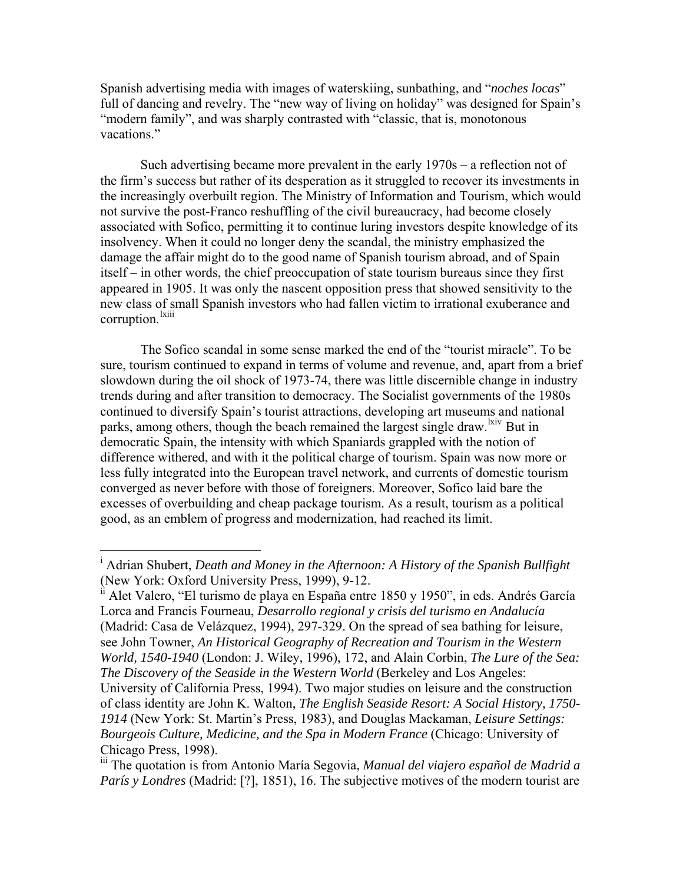Spanish advertising media with images of waterskiing, sunbathing, and "*noches locas*" full of dancing and revelry. The "new way of living on holiday" was designed for Spain's "modern family", and was sharply contrasted with "classic, that is, monotonous vacations."

Such advertising became more prevalent in the early 1970s – a reflection not of the firm's success but rather of its desperation as it struggled to recover its investments in the increasingly overbuilt region. The Ministry of Information and Tourism, which would not survive the post-Franco reshuffling of the civil bureaucracy, had become closely associated with Sofico, permitting it to continue luring investors despite knowledge of its insolvency. When it could no longer deny the scandal, the ministry emphasized the damage the affair might do to the good name of Spanish tourism abroad, and of Spain itself – in other words, the chief preoccupation of state tourism bureaus since they first appeared in 1905. It was only the nascent opposition press that showed sensitivity to the new class of small Spanish investors who had fallen victim to irrational exuberance and corruption.<sup>[lxiii](#page-16-0)</sup>

The Sofico scandal in some sense marked the end of the "tourist miracle". To be sure, tourism continued to expand in terms of volume and revenue, and, apart from a brief slowdown during the oil shock of 1973-74, there was little discernible change in industry trends during and after transition to democracy. The Socialist governments of the 1980s continued to diversify Spain's tourist attractions, developing art museums and national parks, among others, though the beach remained the largest single draw. <sup>Ixiv</sup> But in democratic Spain, the intensity with which Spaniards grappled with the notion of difference withered, and with it the political charge of tourism. Spain was now more or less fully integrated into the European travel network, and currents of domestic tourism converged as never before with those of foreigners. Moreover, Sofico laid bare the excesses of overbuilding and cheap package tourism. As a result, tourism as a political good, as an emblem of progress and modernization, had reached its limit.

 $\overline{a}$ 

i<sup>i</sup> Alet Valero, "El turismo de playa en España entre 1850 y 1950", in eds. Andrés García Lorca and Francis Fourneau, *Desarrollo regional y crisis del turismo en Andalucía* (Madrid: Casa de Velázquez, 1994), 297-329. On the spread of sea bathing for leisure, see John Towner, *An Historical Geography of Recreation and Tourism in the Western World, 1540-1940* (London: J. Wiley, 1996), 172, and Alain Corbin, *The Lure of the Sea: The Discovery of the Seaside in the Western World* (Berkeley and Los Angeles: University of California Press, 1994). Two major studies on leisure and the construction of class identity are John K. Walton, *The English Seaside Resort: A Social History, 1750- 1914* (New York: St. Martin's Press, 1983), and Douglas Mackaman, *Leisure Settings: Bourgeois Culture, Medicine, and the Spa in Modern France* (Chicago: University of Chicago Press, 1998).

i Adrian Shubert, *Death and Money in the Afternoon: A History of the Spanish Bullfight* (New York: Oxford University Press, 1999), 9-12.

iii The quotation is from Antonio María Segovia, *Manual del viajero español de Madrid a París y Londres* (Madrid: [?], 1851), 16. The subjective motives of the modern tourist are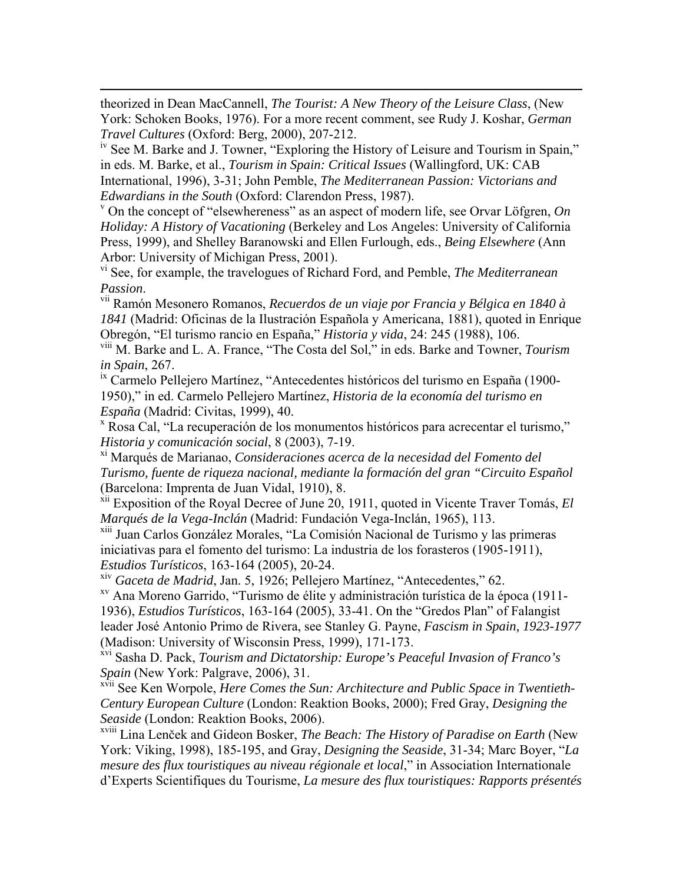theorized in Dean MacCannell, *The Tourist: A New Theory of the Leisure Class*, (New York: Schoken Books, 1976). For a more recent comment, see Rudy J. Koshar, *German Travel Cultures* (Oxford: Berg, 2000), 207-212.

<span id="page-13-1"></span> $\overline{a}$ 

iv See M. Barke and J. Towner, "Exploring the History of Leisure and Tourism in Spain," in eds. M. Barke, et al., *Tourism in Spain: Critical Issues* (Wallingford, UK: CAB International, 1996), 3-31; John Pemble, *The Mediterranean Passion: Victorians and Edwardians in the South* (Oxford: Clarendon Press, 1987).

 $\sigma$ <sup>v</sup> On the concept of "elsewhereness" as an aspect of modern life, see Orvar Löfgren, *On Holiday: A History of Vacationing* (Berkeley and Los Angeles: University of California Press, 1999), and Shelley Baranowski and Ellen Furlough, eds., *Being Elsewhere* (Ann Arbor: University of Michigan Press, 2001).

vi See, for example, the travelogues of Richard Ford, and Pemble, *The Mediterranean Passion.*<br><sup>vii</sup> Ramón Mesonero Romanos, *Recuerdos de un viaje por Francia y Bélgica en 1840 à* 

*1841* (Madrid: Oficinas de la Ilustración Española y Americana, 1881), quoted in Enrique Obregón, "El turismo rancio en España," *Historia y vida*, 24: 245 (1988), 106.

viii M. Barke and L. A. France, "The Costa del Sol," in eds. Barke and Towner, *Tourism in Spain*, 267.

<sup>ix</sup> Carmelo Pellejero Martínez, "Antecedentes históricos del turismo en España (1900-1950)," in ed. Carmelo Pellejero Martínez, *Historia de la economía del turismo en España* (Madrid: Civitas, 1999), 40. x

 Rosa Cal, "La recuperación de los monumentos históricos para acrecentar el turismo," *Historia y comunicación social*, 8 (2003), 7-19.

xi Marqués de Marianao, *Consideraciones acerca de la necesidad del Fomento del Turismo, fuente de riqueza nacional, mediante la formación del gran "Circuito Español* (Barcelona: Imprenta de Juan Vidal, 1910), 8.

xii Exposition of the Royal Decree of June 20, 1911, quoted in Vicente Traver Tomás, *El Marqués de la Vega-Inclán* (Madrid: Fundación Vega-Inclán, 1965), 113.

xiii Juan Carlos González Morales, "La Comisión Nacional de Turismo y las primeras iniciativas para el fomento del turismo: La industria de los forasteros (1905-1911), *Estudios Turísticos*, 163-164 (2005), 20-24.

<span id="page-13-0"></span>

<sup>xv</sup> Ana Moreno Garrido, "Turismo de élite y administración turística de la época (1911-1936), *Estudios Turísticos*, 163-164 (2005), 33-41. On the "Gredos Plan" of Falangist leader José Antonio Primo de Rivera, see Stanley G. Payne, *Fascism in Spain, 1923-1977* (Madison: University of Wisconsin Press, 1999), 171-173.

xvi Sasha D. Pack, *Tourism and Dictatorship: Europe's Peaceful Invasion of Franco's Spain* (New York: Palgrave, 2006), 31.

xvii See Ken Worpole, *Here Comes the Sun: Architecture and Public Space in Twentieth-Century European Culture* (London: Reaktion Books, 2000); Fred Gray, *Designing the Seaside* (London: Reaktion Books, 2006).

xviii Lina Lenček and Gideon Bosker, *The Beach: The History of Paradise on Earth* (New York: Viking, 1998), 185-195, and Gray, *Designing the Seaside*, 31-34; Marc Boyer, "*La mesure des flux touristiques au niveau régionale et local*," in Association Internationale d'Experts Scientifiques du Tourisme, *La mesure des flux touristiques: Rapports présentés*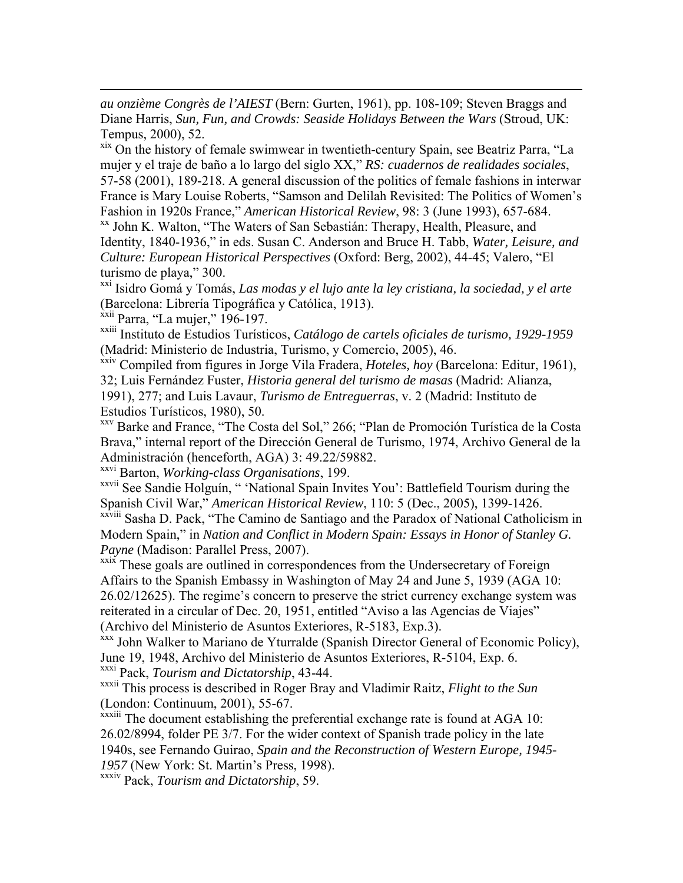<span id="page-14-0"></span>*au onzième Congrès de l'AIEST* (Bern: Gurten, 1961), pp. 108-109; Steven Braggs and Diane Harris, *Sun, Fun, and Crowds: Seaside Holidays Between the Wars* (Stroud, UK: Tempus, 2000), 52.

xix On the history of female swimwear in twentieth-century Spain, see Beatriz Parra, "La mujer y el traje de baño a lo largo del siglo XX," *RS: cuadernos de realidades sociales*, 57-58 (2001), 189-218. A general discussion of the politics of female fashions in interwar France is Mary Louise Roberts, "Samson and Delilah Revisited: The Politics of Women's Fashion in 1920s France," *American Historical Review*, 98: 3 (June 1993), 657-684.<br><sup>xx</sup> John K. Walton, "The Waters of San Sebastián: Therapy, Health, Pleasure, and

Identity, 1840-1936," in eds. Susan C. Anderson and Bruce H. Tabb, *Water, Leisure, and Culture: European Historical Perspectives* (Oxford: Berg, 2002), 44-45; Valero, "El turismo de playa," 300.

xxi Isidro Gomá y Tomás, *Las modas y el lujo ante la ley cristiana, la sociedad, y el arte* (Barcelona: Librería Tipográfica y Católica, 1913).

xxii Parra, "La mujer," 196-197.

 $\overline{a}$ 

xxiii Instituto de Estudios Turísticos, *Catálogo de cartels oficiales de turismo, 1929-1959* (Madrid: Ministerio de Industria, Turismo, y Comercio, 2005), 46.

xxiv Compiled from figures in Jorge Vila Fradera, *Hoteles, hoy* (Barcelona: Editur, 1961), 32; Luis Fernández Fuster, *Historia general del turismo de masas* (Madrid: Alianza, 1991), 277; and Luis Lavaur, *Turismo de Entreguerras*, v. 2 (Madrid: Instituto de Estudios Turísticos, 1980), 50.

xxv Barke and France, "The Costa del Sol," 266; "Plan de Promoción Turística de la Costa Brava," internal report of the Dirección General de Turismo, 1974, Archivo General de la Administración (henceforth, AGA) 3: 49.22/59882.

xxvi Barton, *Working-class Organisations*, 199.

xxvii See Sandie Holguín, " 'National Spain Invites You': Battlefield Tourism during the Spanish Civil War," *American Historical Review*, 110: 5 (Dec., 2005), 1399-1426.

xxviii Sasha D. Pack, "The Camino de Santiago and the Paradox of National Catholicism in Modern Spain," in *Nation and Conflict in Modern Spain: Essays in Honor of Stanley G. Payne* (Madison: Parallel Press, 2007).

xxix These goals are outlined in correspondences from the Undersecretary of Foreign Affairs to the Spanish Embassy in Washington of May 24 and June 5, 1939 (AGA 10: 26.02/12625). The regime's concern to preserve the strict currency exchange system was reiterated in a circular of Dec. 20, 1951, entitled "Aviso a las Agencias de Viajes"

(Archivo del Ministerio de Asuntos Exteriores, R-5183, Exp.3). xxx John Walker to Mariano de Yturralde (Spanish Director General of Economic Policy), June 19, 1948, Archivo del Ministerio de Asuntos Exteriores, R-5104, Exp. 6. xxxi Pack, *Tourism and Dictatorship*, 43-44.

xxxii This process is described in Roger Bray and Vladimir Raitz, *Flight to the Sun* (London: Continuum, 2001), 55-67.

xxxiii The document establishing the preferential exchange rate is found at AGA 10: 26.02/8994, folder PE 3/7. For the wider context of Spanish trade policy in the late 1940s, see Fernando Guirao, *Spain and the Reconstruction of Western Europe, 1945- 1957* (New York: St. Martin's Press, 1998).

xxxiv Pack, *Tourism and Dictatorship*, 59.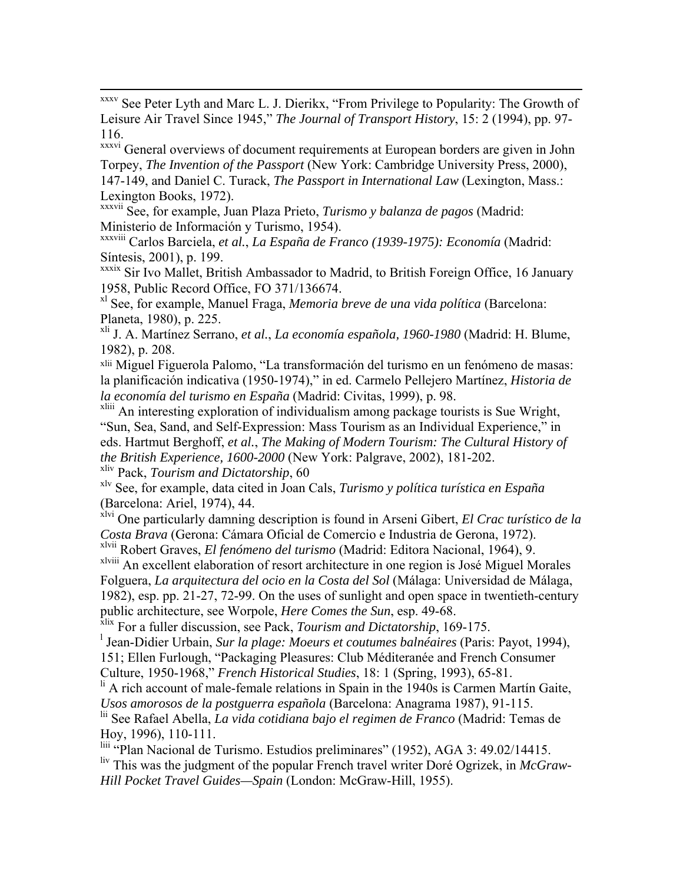<span id="page-15-0"></span> xxxv See Peter Lyth and Marc L. J. Dierikx, "From Privilege to Popularity: The Growth of Leisure Air Travel Since 1945," *The Journal of Transport History*, 15: 2 (1994), pp. 97- 116.

xxxvi General overviews of document requirements at European borders are given in John Torpey, *The Invention of the Passport* (New York: Cambridge University Press, 2000), 147-149, and Daniel C. Turack, *The Passport in International Law* (Lexington, Mass.: Lexington Books, 1972).

xxxvii See, for example, Juan Plaza Prieto, *Turismo y balanza de pagos* (Madrid: Ministerio de Información y Turismo, 1954).

xxxviii Carlos Barciela, *et al.*, *La España de Franco (1939-1975): Economía* (Madrid: Síntesis, 2001), p. 199.

xxxix Sir Ivo Mallet, British Ambassador to Madrid, to British Foreign Office, 16 January 1958, Public Record Office, FO 371/136674.

xl See, for example, Manuel Fraga, *Memoria breve de una vida política* (Barcelona: Planeta, 1980), p. 225.

xli J. A. Martínez Serrano, *et al.*, *La economía española, 1960-1980* (Madrid: H. Blume, 1982), p. 208.

xlii Miguel Figuerola Palomo, "La transformación del turismo en un fenómeno de masas: la planificación indicativa (1950-1974)," in ed. Carmelo Pellejero Martínez, *Historia de la economía del turismo en España* (Madrid: Civitas, 1999), p. 98.

<sup>xliii</sup> An interesting exploration of individualism among package tourists is Sue Wright, "Sun, Sea, Sand, and Self-Expression: Mass Tourism as an Individual Experience," in eds. Hartmut Berghoff, *et al.*, *The Making of Modern Tourism: The Cultural History of the British Experience, 1600-2000* (New York: Palgrave, 2002), 181-202. xliv Pack, *Tourism and Dictatorship*, 60

xlv See, for example, data cited in Joan Cals, *Turismo y política turística en España* (Barcelona: Ariel, 1974), 44.

xlvi One particularly damning description is found in Arseni Gibert, *El Crac turístico de la Costa Brava* (Gerona: Cámara Oficial de Comercio e Industria de Gerona, 1972).

xlvii Robert Graves, *El fenómeno del turismo* (Madrid: Editora Nacional, 1964), 9.

xlviii An excellent elaboration of resort architecture in one region is José Miguel Morales Folguera, *La arquitectura del ocio en la Costa del Sol* (Málaga: Universidad de Málaga, 1982), esp. pp. 21-27, 72-99. On the uses of sunlight and open space in twentieth-century public architecture, see Worpole, *Here Comes the Sun*, esp. 49-68.

xlix For a fuller discussion, see Pack, *Tourism and Dictatorship*, 169-175.

l Jean-Didier Urbain, *Sur la plage: Moeurs et coutumes balnéaires* (Paris: Payot, 1994),

151; Ellen Furlough, "Packaging Pleasures: Club Méditeranée and French Consumer Culture, 1950-1968," *French Historical Studies*, 18: 1 (Spring, 1993), 65-81.

 $\frac{1}{11}$  A rich account of male-female relations in Spain in the 1940s is Carmen Martín Gaite, *Usos amorosos de la postguerra española* (Barcelona: Anagrama 1987), 91-115.

lii See Rafael Abella, *La vida cotidiana bajo el regimen de Franco* (Madrid: Temas de Hoy, 1996), 110-111.

liii "Plan Nacional de Turismo. Estudios preliminares" (1952), AGA 3: 49.02/14415. liv This was the judgment of the popular French travel writer Doré Ogrizek, in *McGraw-Hill Pocket Travel Guides—Spain* (London: McGraw-Hill, 1955).